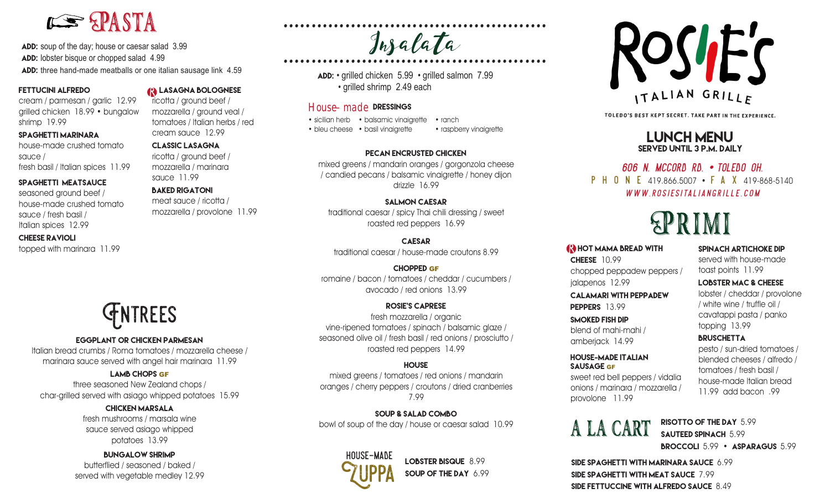# LE PASTA

ADD: soup of the day; house or caesar salad 3.99 ADD: lobster bisque or chopped salad 4.99 ADD: three hand-made meatballs or one italian sausage link 4.59

#### Fettucini alfredo

cream / parmesan / garlic 12.99 grilled chicken 18.99 • bungalow shrimp 19.99

#### spaghetti marinara

house-made crushed tomato sauce / fresh basil / Italian spices 11.99

#### spaghetti meatsauce

seasoned ground beef / house-made crushed tomato sauce / fresh basil / Italian spices 12.99

#### cheese ravioli

### lasagna bolognese

mozzarella / ground veal / tomatoes / Italian herbs / red cream sauce 12.99

#### Classic Lasagna

ricotta / ground beef / mozzarella / marinara sauce 11.99

mozzarella / provolone 11.99

# **GNTREES**

#### eggplant or chicken PARMESAN

Italian bread crumbs / Roma tomatoes / mozzarella cheese / marinara sauce served with angel hair marinara 11.99

#### Lamb Chops GF

three seasoned New Zealand chops / char-grilled served with asiago whipped potatoes 15.99

#### Chicken Marsala

fresh mushrooms / marsala wine sauce served asiago whipped potatoes 13.99

#### bungalow shrimp

butterflied / seasoned / baked / served with vegetable medley 12.99

ricotta / ground beef /

#### Baked Rigatoni

meat sauce / ricotta /

# $Jn$  a  $\ell$  a  $\ell$  a  $\ell$  a  $\ell$  a  $\ell$  a  $\ell$  a  $\ell$  a  $\ell$  a  $\ell$  a  $\ell$  a  $\ell$  a  $\ell$  a  $\ell$  a  $\ell$  a  $\ell$  a  $\ell$  a  $\ell$  a  $\ell$  a  $\ell$  a  $\ell$  a  $\ell$  a  $\ell$  a  $\ell$  a  $\ell$  a  $\ell$  and  $\ell$  a  $\ell$  and  $\ell$  and  $\ell$  and  $\ell$ ............................................... Insalata

Add: • grilled chicken 5.99 • grilled salmon 7.99 • grilled shrimp 2.49 each

#### House–made dressings

• sicilian herb • balsamic vinaigrette • ranch • bleu cheese • basil vinaigrette • raspberry vinaigrette

#### pecan encrusted chicken

mixed greens / mandarin oranges / gorgonzola cheese / candied pecans / balsamic vinaigrette / honey dijon drizzle 16.99

#### salmon caesar

traditional caesar / spicy Thai chili dressing / sweet roasted red peppers 16.99

**CAESAR** traditional caesar / house-made croutons 8.99 (NHOT MAMA BREAD WITH SPINACH ARTICHOKE DIP

#### chopped GF

romaine / bacon / tomatoes / cheddar / cucumbers / avocado / red onions 13.99

#### Rosie's caprese

fresh mozzarella / organic vine-ripened tomatoes / spinach / balsamic glaze / seasoned olive oil / fresh basil / red onions / prosciutto / roasted red peppers 14.99

#### **HOUSE**

mixed greens / tomatoes / red onions / mandarin oranges / cherry peppers / croutons / dried cranberries 7.99

#### Soup & Salad combo

bowl of soup of the day / house or caesar salad 10.99



LOBSTER BISQUE 8.99<br>SOUP OF THE DAY 6.99



TOLEDO'S BEST KEPT SECRET. TAKE PART IN THE EXPERIENCE.

#### lunch menu Served until 3 p.m. Daily

### 606 n. mccord rd. • toledo oh. P H O N E 419.866.5007 • F A X 419-868-5140 WWW ROSIESITALIANGRILLE COM

# Primi

#### **HOT MAMA BREAD WITH**

**CHEESE** 10.99 chopped peppadew peppers / ialapenos 12.99

calamari with pEppadew peppers 13.99

smoked fish dip blend of mahi-mahi / amberjack 14.99

#### House-made italian SAUSAGE GF

sweet red bell peppers / vidalia onions / marinara / mozzarella / provolone 11.99

A LA CART RISOTTO OF THE DAY 5.99

## SAUTEED SPINACH 5.99 Broccoli 5.99 • Asparagus 5.99

side Spaghetti with marinara sauce 6.99 side Spaghetti with meat sauce 7.99 side Fettuccine with alfredo sauce 8.49

served with house-made

toast points 11.99

#### Lobster Mac & Cheese

lobster / cheddar / provolone / white wine / truffle oil / cavatappi pasta / panko topping 13.99

#### **BRUSCHETTA**

pesto / sun-dried tomatoes / blended cheeses / alfredo / tomatoes / fresh basil / house-made Italian bread 11.99 add bacon .99